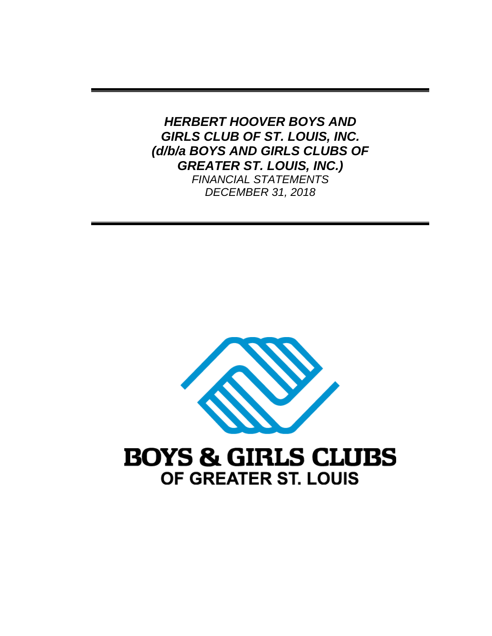*HERBERT HOOVER BOYS AND GIRLS CLUB OF ST. LOUIS, INC. (d/b/a BOYS AND GIRLS CLUBS OF GREATER ST. LOUIS, INC.) FINANCIAL STATEMENTS DECEMBER 31, 2018* 



# **BOYS & GIRLS CLUBS** OF GREATER ST. LOUIS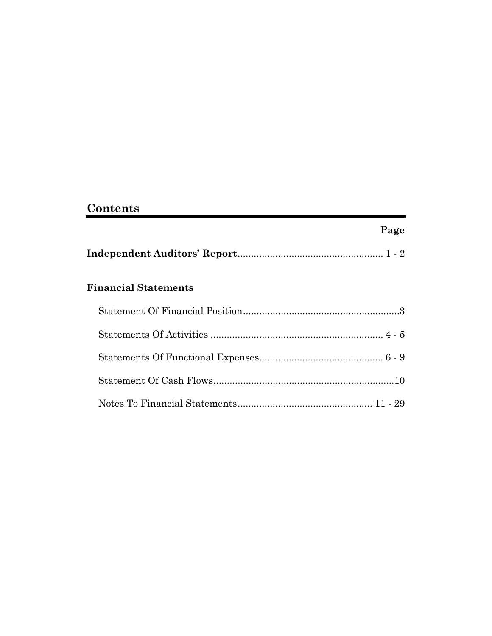# **Contents**

# **Page**

|--|--|--|--|

# **Financial Statements**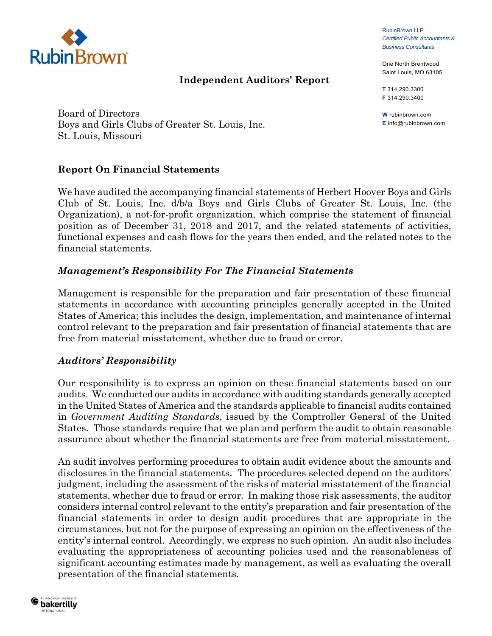

#### **Independent Auditors' Report**

RubinBrown LLP *Certified Public Accountants & Business Consultants*

One North Brentwood Saint Louis, MO 63105

**T** 314.290.3300 **F** 314.290.3400

**W** rubinbrown.com **E** info@rubinbrown.com

Board of Directors Boys and Girls Clubs of Greater St. Louis, Inc. St. Louis, Missouri

#### **Report On Financial Statements**

We have audited the accompanying financial statements of Herbert Hoover Boys and Girls Club of St. Louis, Inc. d/b/a Boys and Girls Clubs of Greater St. Louis, Inc. (the Organization), a not-for-profit organization, which comprise the statement of financial position as of December 31, 2018 and 2017, and the related statements of activities, functional expenses and cash flows for the years then ended, and the related notes to the financial statements.

#### *Management's Responsibility For The Financial Statements*

Management is responsible for the preparation and fair presentation of these financial statements in accordance with accounting principles generally accepted in the United States of America; this includes the design, implementation, and maintenance of internal control relevant to the preparation and fair presentation of financial statements that are free from material misstatement, whether due to fraud or error.

#### *Auditors' Responsibility*

Our responsibility is to express an opinion on these financial statements based on our audits. We conducted our audits in accordance with auditing standards generally accepted in the United States of America and the standards applicable to financial audits contained in *Government Auditing Standards*, issued by the Comptroller General of the United States. Those standards require that we plan and perform the audit to obtain reasonable assurance about whether the financial statements are free from material misstatement.

An audit involves performing procedures to obtain audit evidence about the amounts and disclosures in the financial statements. The procedures selected depend on the auditors' judgment, including the assessment of the risks of material misstatement of the financial statements, whether due to fraud or error. In making those risk assessments, the auditor considers internal control relevant to the entity's preparation and fair presentation of the financial statements in order to design audit procedures that are appropriate in the circumstances, but not for the purpose of expressing an opinion on the effectiveness of the entity's internal control. Accordingly, we express no such opinion. An audit also includes evaluating the appropriateness of accounting policies used and the reasonableness of significant accounting estimates made by management, as well as evaluating the overall presentation of the financial statements.

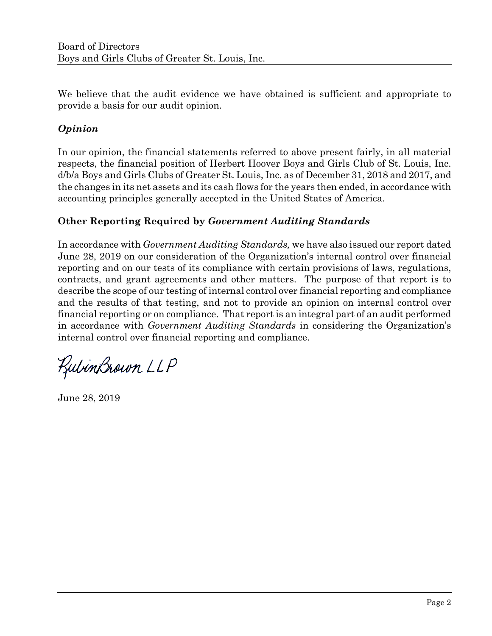We believe that the audit evidence we have obtained is sufficient and appropriate to provide a basis for our audit opinion.

# *Opinion*

In our opinion, the financial statements referred to above present fairly, in all material respects, the financial position of Herbert Hoover Boys and Girls Club of St. Louis, Inc. d/b/a Boys and Girls Clubs of Greater St. Louis, Inc. as of December 31, 2018 and 2017, and the changes in its net assets and its cash flows for the years then ended, in accordance with accounting principles generally accepted in the United States of America.

## **Other Reporting Required by** *Government Auditing Standards*

In accordance with *Government Auditing Standards,* we have also issued our report dated June 28, 2019 on our consideration of the Organization's internal control over financial reporting and on our tests of its compliance with certain provisions of laws, regulations, contracts, and grant agreements and other matters. The purpose of that report is to describe the scope of our testing of internal control over financial reporting and compliance and the results of that testing, and not to provide an opinion on internal control over financial reporting or on compliance. That report is an integral part of an audit performed in accordance with *Government Auditing Standards* in considering the Organization's internal control over financial reporting and compliance.

KulinBrown LLP

June 28, 2019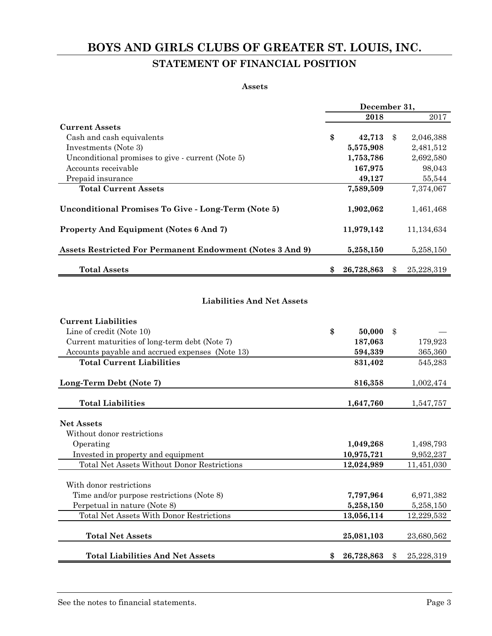# **BOYS AND GIRLS CLUBS OF GREATER ST. LOUIS, INC. STATEMENT OF FINANCIAL POSITION**

#### **Assets**

|                                                           | December 31, |            |               |            |  |  |  |
|-----------------------------------------------------------|--------------|------------|---------------|------------|--|--|--|
|                                                           |              | 2018       |               | 2017       |  |  |  |
| <b>Current Assets</b>                                     |              |            |               |            |  |  |  |
| Cash and cash equivalents                                 | \$           | 42,713     | $\mathbf{\$}$ | 2,046,388  |  |  |  |
| Investments (Note 3)                                      |              | 5,575,908  |               | 2,481,512  |  |  |  |
| Unconditional promises to give - current (Note 5)         |              | 1,753,786  |               | 2,692,580  |  |  |  |
| Accounts receivable                                       |              | 167,975    |               | 98,043     |  |  |  |
| Prepaid insurance                                         |              | 49,127     |               | 55,544     |  |  |  |
| <b>Total Current Assets</b>                               |              | 7,589,509  |               | 7,374,067  |  |  |  |
|                                                           |              |            |               |            |  |  |  |
| Unconditional Promises To Give - Long-Term (Note 5)       |              | 1,902,062  |               | 1,461,468  |  |  |  |
| Property And Equipment (Notes 6 And 7)                    |              | 11,979,142 |               | 11,134,634 |  |  |  |
| Assets Restricted For Permanent Endowment (Notes 3 And 9) |              | 5,258,150  |               | 5,258,150  |  |  |  |
| <b>Total Assets</b>                                       | \$           | 26,728,863 |               | 25,228,319 |  |  |  |
|                                                           |              |            |               |            |  |  |  |
| <b>Liabilities And Net Assets</b>                         |              |            |               |            |  |  |  |
| <b>Current Liabilities</b>                                |              |            |               |            |  |  |  |

| Line of credit (Note 10)                           | \$<br>50,000     | \$               |
|----------------------------------------------------|------------------|------------------|
| Current maturities of long-term debt (Note 7)      | 187,063          | 179,923          |
| Accounts payable and accrued expenses (Note 13)    | 594,339          | 365,360          |
| <b>Total Current Liabilities</b>                   | 831,402          | 545,283          |
| Long-Term Debt (Note 7)                            | 816,358          | 1,002,474        |
| <b>Total Liabilities</b>                           | 1,647,760        | 1,547,757        |
| <b>Net Assets</b>                                  |                  |                  |
| Without donor restrictions                         |                  |                  |
| Operating                                          | 1,049,268        | 1,498,793        |
| Invested in property and equipment                 | 10,975,721       | 9,952,237        |
| <b>Total Net Assets Without Donor Restrictions</b> | 12,024,989       | 11,451,030       |
| With donor restrictions                            |                  |                  |
| Time and/or purpose restrictions (Note 8)          | 7,797,964        | 6,971,382        |
| Perpetual in nature (Note 8)                       | 5,258,150        | 5,258,150        |
| <b>Total Net Assets With Donor Restrictions</b>    | 13,056,114       | 12,229,532       |
| <b>Total Net Assets</b>                            | 25,081,103       | 23,680,562       |
| <b>Total Liabilities And Net Assets</b>            | \$<br>26,728,863 | \$<br>25,228,319 |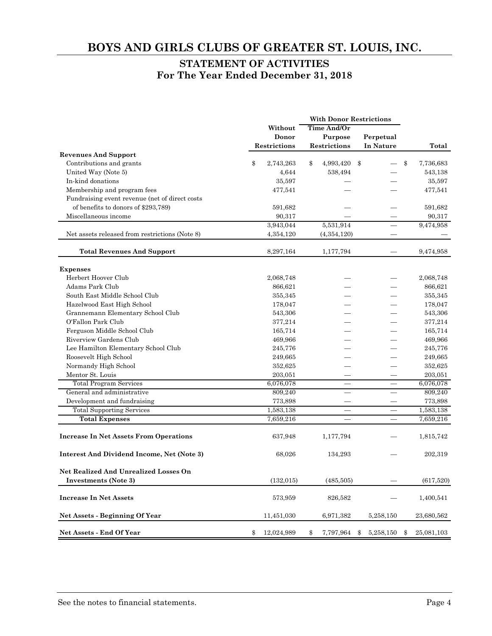#### **STATEMENT OF ACTIVITIES For The Year Ended December 31, 2018**

|                                                   | <b>With Donor Restrictions</b> |              |    |                          |    |                          |                  |
|---------------------------------------------------|--------------------------------|--------------|----|--------------------------|----|--------------------------|------------------|
|                                                   |                                | Without      |    | Time And/Or              |    |                          |                  |
|                                                   |                                | Donor        |    | Purpose                  |    | Perpetual                |                  |
|                                                   |                                | Restrictions |    | <b>Restrictions</b>      |    | In Nature                | Total            |
| <b>Revenues And Support</b>                       |                                |              |    |                          |    |                          |                  |
| Contributions and grants                          | \$                             | 2,743,263    | \$ | 4,993,420                | \$ |                          | \$<br>7,736,683  |
| United Way (Note 5)                               |                                | 4,644        |    | 538,494                  |    |                          | 543,138          |
| In-kind donations                                 |                                | 35,597       |    |                          |    |                          | 35,597           |
| Membership and program fees                       |                                | 477,541      |    |                          |    |                          | 477,541          |
| Fundraising event revenue (net of direct costs    |                                |              |    |                          |    |                          |                  |
| of benefits to donors of \$293,789)               |                                | 591,682      |    |                          |    |                          | 591,682          |
| Miscellaneous income                              |                                | 90,317       |    |                          |    |                          | 90,317           |
|                                                   |                                | 3,943,044    |    | 5,531,914                |    | $\overline{\phantom{a}}$ | 9,474,958        |
| Net assets released from restrictions (Note 8)    |                                | 4,354,120    |    | (4, 354, 120)            |    |                          |                  |
| <b>Total Revenues And Support</b>                 |                                | 8,297,164    |    | 1,177,794                |    |                          | 9,474,958        |
| <b>Expenses</b>                                   |                                |              |    |                          |    |                          |                  |
| Herbert Hoover Club                               |                                | 2,068,748    |    |                          |    |                          | 2,068,748        |
| Adams Park Club                                   |                                | 866,621      |    |                          |    |                          | 866,621          |
| South East Middle School Club                     |                                | 355,345      |    |                          |    |                          | 355,345          |
| Hazelwood East High School                        |                                | 178,047      |    |                          |    |                          | 178,047          |
| Grannemann Elementary School Club                 |                                | 543,306      |    |                          |    |                          | 543,306          |
| O'Fallon Park Club                                |                                | 377,214      |    |                          |    |                          | 377,214          |
| Ferguson Middle School Club                       |                                | 165,714      |    |                          |    |                          | 165,714          |
| Riverview Gardens Club                            |                                | 469,966      |    |                          |    |                          | 469,966          |
| Lee Hamilton Elementary School Club               |                                | 245,776      |    |                          |    |                          | 245,776          |
| Roosevelt High School                             |                                | 249,665      |    |                          |    |                          | 249,665          |
| Normandy High School                              |                                | 352,625      |    |                          |    |                          | 352,625          |
| Mentor St. Louis                                  |                                | 203,051      |    |                          |    |                          | 203,051          |
| <b>Total Program Services</b>                     |                                | 6,076,078    |    |                          |    |                          | 6,076,078        |
| General and administrative                        |                                | 809,240      |    | $\overline{\phantom{0}}$ |    | $\overline{\phantom{0}}$ | 809,240          |
| Development and fundraising                       |                                | 773,898      |    |                          |    |                          | 773,898          |
| <b>Total Supporting Services</b>                  |                                | 1,583,138    |    |                          |    |                          | 1,583,138        |
| <b>Total Expenses</b>                             |                                | 7,659,216    |    |                          |    |                          | 7,659,216        |
|                                                   |                                |              |    |                          |    |                          |                  |
| <b>Increase In Net Assets From Operations</b>     |                                | 637,948      |    | 1,177,794                |    |                          | 1,815,742        |
| <b>Interest And Dividend Income, Net (Note 3)</b> |                                | 68,026       |    | 134,293                  |    |                          | 202,319          |
| <b>Net Realized And Unrealized Losses On</b>      |                                |              |    |                          |    |                          |                  |
| <b>Investments</b> (Note 3)                       |                                | (132, 015)   |    | (485,505)                |    |                          | (617,520)        |
| <b>Increase In Net Assets</b>                     |                                | 573,959      |    | 826,582                  |    |                          | 1,400,541        |
| Net Assets - Beginning Of Year                    |                                | 11,451,030   |    | 6,971,382                |    | 5,258,150                | 23,680,562       |
| Net Assets - End Of Year                          | \$                             | 12,024,989   | \$ | 7,797,964                | \$ | 5,258,150                | \$<br>25,081,103 |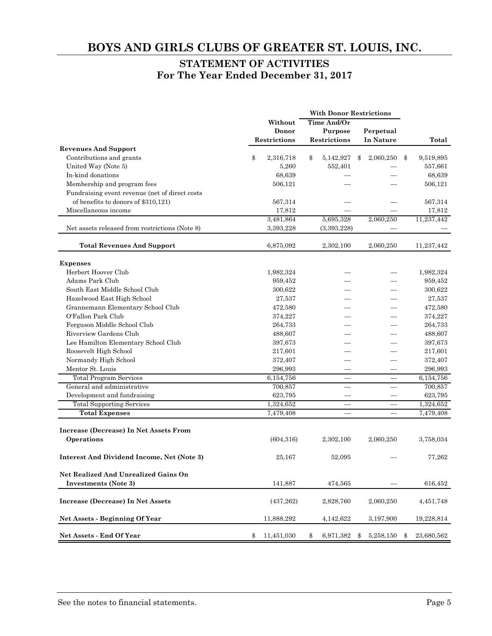#### **STATEMENT OF ACTIVITIES For The Year Ended December 31, 2017**

|                                                      |                  | <b>With Donor Restrictions</b> |                 |                  |
|------------------------------------------------------|------------------|--------------------------------|-----------------|------------------|
|                                                      | Without          | <b>Time And/Or</b>             |                 |                  |
|                                                      | Donor            | Purpose                        | Perpetual       |                  |
|                                                      | Restrictions     | Restrictions                   | In Nature       | Total            |
| <b>Revenues And Support</b>                          |                  |                                |                 |                  |
| Contributions and grants                             | \$<br>2,316,718  | \$<br>5,142,927                | \$<br>2,060,250 | \$<br>9,519,895  |
| United Way (Note 5)                                  | 5,260            | 552,401                        |                 | 557,661          |
| In-kind donations                                    | 68,639           |                                |                 | 68,639           |
| Membership and program fees                          | 506,121          |                                |                 | 506,121          |
| Fundraising event revenue (net of direct costs       |                  |                                |                 |                  |
| of benefits to donors of \$310,121)                  | 567,314          |                                |                 | 567,314          |
| Miscellaneous income                                 | 17,812           |                                |                 | 17,812           |
|                                                      | 3,481,864        | 5,695,328                      | 2,060,250       | 11,237,442       |
| Net assets released from restrictions (Note 8)       | 3,393,228        | (3,393,228)                    |                 |                  |
| <b>Total Revenues And Support</b>                    | 6,875,092        | 2,302,100                      | 2,060,250       | 11,237,442       |
| <b>Expenses</b>                                      |                  |                                |                 |                  |
| Herbert Hoover Club                                  | 1,982,324        |                                |                 | 1,982,324        |
| Adams Park Club                                      | 959,452          |                                |                 | 959,452          |
| South East Middle School Club                        | 300,622          |                                |                 | 300,622          |
| Hazelwood East High School                           | 27,537           |                                |                 | 27,537           |
| Grannemann Elementary School Club                    | 472,580          |                                |                 | 472,580          |
| O'Fallon Park Club                                   | 374,227          |                                |                 | 374,227          |
| Ferguson Middle School Club                          | 264,733          |                                |                 | 264,733          |
| Riverview Gardens Club                               | 488,607          |                                |                 | 488,607          |
| Lee Hamilton Elementary School Club                  | 397,673          |                                |                 | 397,673          |
| Roosevelt High School                                | 217,601          |                                |                 | 217,601          |
| Normandy High School                                 | 372,407          |                                |                 | 372,407          |
| Mentor St. Louis                                     | 296,993          |                                |                 | 296,993          |
| <b>Total Program Services</b>                        | 6,154,756        |                                |                 | 6,154,756        |
| General and administrative                           | 700,857          | $\overline{\phantom{0}}$       | $\equiv$        | 700,857          |
| Development and fundraising                          | 623,795          |                                |                 | 623,795          |
| <b>Total Supporting Services</b>                     | 1,324,652        |                                |                 | 1,324,652        |
| <b>Total Expenses</b>                                | 7,479,408        | $\overline{\phantom{m}}$       |                 | 7,479,408        |
|                                                      |                  |                                |                 |                  |
| Increase (Decrease) In Net Assets From<br>Operations | (604, 316)       | 2,302,100                      | 2,060,250       | 3,758,034        |
|                                                      |                  |                                |                 |                  |
| Interest And Dividend Income, Net (Note 3)           | 25,167           | 52,095                         |                 | 77,262           |
| Net Realized And Unrealized Gains On                 |                  |                                |                 |                  |
| Investments (Note 3)                                 | 141,887          | 474,565                        |                 | 616,452          |
| Increase (Decrease) In Net Assets                    | (437, 262)       | 2,828,760                      | 2,060,250       | 4,451,748        |
| Net Assets - Beginning Of Year                       | 11,888,292       | 4,142,622                      | 3,197,900       | 19,228,814       |
| Net Assets - End Of Year                             | \$<br>11,451,030 | \$<br>6,971,382                | \$<br>5,258,150 | \$<br>23,680,562 |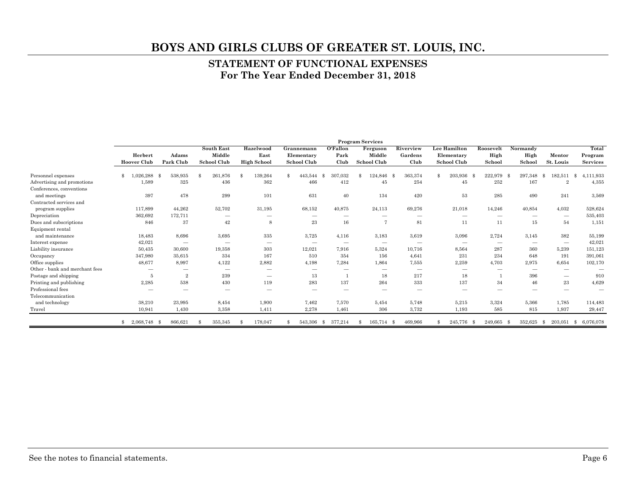#### **STATEMENT OF FUNCTIONAL EXPENSES For The Year Ended December 31, 2018**

|                                |                               |                                 |                                                   |                                         |                                                |                                       | <b>Program Services</b>           |                                 |                                                  |                             |                            |                                 |                                     |
|--------------------------------|-------------------------------|---------------------------------|---------------------------------------------------|-----------------------------------------|------------------------------------------------|---------------------------------------|-----------------------------------|---------------------------------|--------------------------------------------------|-----------------------------|----------------------------|---------------------------------|-------------------------------------|
|                                | Herbert<br><b>Hoover Club</b> | Adams<br>Park Club              | <b>South East</b><br>Middle<br><b>School Club</b> | Hazelwood<br>East<br><b>High School</b> | Grannemann<br>Elementary<br><b>School Club</b> | O'Fallon<br>Park<br>Club              | Ferguson<br>Middle<br>School Club | Riverview<br>Gardens<br>Club    | Lee Hamilton<br>Elementary<br><b>School Club</b> | Roosevelt<br>High<br>School | Normandy<br>High<br>School | Mentor<br>St. Louis             | Total<br>Program<br><b>Services</b> |
| Personnel expenses             | ,026,288                      | 538,935<br>- 98                 | 261,876<br>\$                                     | 139,264<br>$\mathcal{S}$                | \$.<br>443,544                                 | 307,032<br>- \$                       | 124,846<br>\$.                    | 363,374<br>-\$                  | 203,936 \$<br>\$                                 | 222,979                     | 297,348<br>- \$            | 182,511<br>-8                   | ,111,933<br>-8                      |
| Advertising and promotions     | 1,589                         | 325                             | 436                                               | 362                                     | 466                                            | 412                                   | 45                                | 254                             | 45                                               | 252                         | 167                        | $\overline{2}$                  | 4,355                               |
| Conferences, conventions       |                               |                                 |                                                   |                                         |                                                |                                       |                                   |                                 |                                                  |                             |                            |                                 |                                     |
| and meetings                   | 397                           | 478                             | 299                                               | 101                                     | 631                                            | 40                                    | 134                               | 420                             | 53                                               | 285                         | 490                        | 241                             | 3,569                               |
| Contracted services and        |                               |                                 |                                                   |                                         |                                                |                                       |                                   |                                 |                                                  |                             |                            |                                 |                                     |
| program supplies               | 117,899                       | 44,262                          | 52,702                                            | 31,195                                  | 68,152                                         | 40,875                                | 24,113                            | 69,276                          | 21,018                                           | 14,246                      | 40.854                     | 4,032                           | 528,624                             |
| Depreciation                   | 362,692                       | 172,711                         |                                                   |                                         | -                                              | $\hspace{1.0cm} \rule{1.5cm}{0.15cm}$ | $\hspace{0.1mm}-\hspace{0.1mm}$   | $\overline{\phantom{m}}$        |                                                  |                             | $\hspace{0.5cm}$           | $\hspace{0.1mm}-\hspace{0.1mm}$ | 535,403                             |
| Dues and subscriptions         | 846                           | 37                              | 42                                                | 8                                       | 23                                             | 16                                    | 7                                 | 81                              | 11                                               | 11                          | 15                         | 54                              | 1,151                               |
| Equipment rental               |                               |                                 |                                                   |                                         |                                                |                                       |                                   |                                 |                                                  |                             |                            |                                 |                                     |
| and maintenance                | 18,483                        | 8,696                           | 3,695                                             | 335                                     | 3,725                                          | 4,116                                 | 3,183                             | 3,619                           | 3,096                                            | 2,724                       | 3,145                      | 382                             | 55,199                              |
| Interest expense               | 42,021                        | $\hspace{0.05cm}$               |                                                   | $\hspace{0.1mm}-\hspace{0.1mm}$         |                                                | $\hspace{1.0cm} \rule{1.5cm}{0.15cm}$ | $\hspace{0.1mm}-\hspace{0.1mm}$   | $\hspace{0.1mm}-\hspace{0.1mm}$ |                                                  | $\sim$                      | $\hspace{0.5cm}$           | $\hspace{0.1mm}-\hspace{0.1mm}$ | 42,021                              |
| Liability insurance            | 50,435                        | 30,600                          | 19,358                                            | 303                                     | 12,021                                         | 7.916                                 | 5,324                             | 10,716                          | 8,564                                            | 287                         | 360                        | 5,239                           | 151,123                             |
| Occupancy                      | 347,980                       | 35,615                          | 334                                               | 167                                     | 510                                            | 354                                   | 156                               | 4,641                           | 231                                              | 234                         | 648                        | 191                             | 391,061                             |
| Office supplies                | 48,677                        | 8,997                           | 4,122                                             | 2,882                                   | 4,198                                          | 7,284                                 | 1,864                             | 7,555                           | 2,259                                            | 4.703                       | 2.975                      | 6.654                           | 102,170                             |
| Other - bank and merchant fees |                               | $\hspace{0.1mm}-\hspace{0.1mm}$ |                                                   |                                         |                                                |                                       | $\hspace{0.1mm}-\hspace{0.1mm}$   | $\hspace{0.1mm}-\hspace{0.1mm}$ | $\hspace{1.0cm} \rule{1.5cm}{0.15cm}$            |                             | $\hspace{0.05cm}$          | $\overline{\phantom{a}}$        |                                     |
| Postage and shipping           | 5                             | $\overline{2}$                  | 239                                               | $\hspace{0.1mm}-\hspace{0.1mm}$         | 13                                             |                                       | 18                                | 217                             | 18                                               |                             | 396                        | $\hspace{0.1mm}-\hspace{0.1mm}$ | 910                                 |
| Printing and publishing        | 2,285                         | 538                             | 430                                               | 119                                     | 283                                            | 137                                   | 264                               | 333                             | 137                                              | 34                          | 46                         | 23                              | 4,629                               |
| Professional fees              |                               |                                 |                                                   |                                         |                                                |                                       |                                   |                                 | -                                                |                             | $\hspace{0.05cm}$          |                                 | $\overline{\phantom{0}}$            |
| Telecommunication              |                               |                                 |                                                   |                                         |                                                |                                       |                                   |                                 |                                                  |                             |                            |                                 |                                     |
| and technology                 | 38,210                        | 23,995                          | 8.454                                             | 1,900                                   | 7,462                                          | 7.570                                 | 5,454                             | 5,748                           | 5,215                                            | 3,324                       | 5.366                      | 1.785                           | 114,483                             |
| Travel                         | 10,941                        | 1,430                           | 3,358                                             | 1,411                                   | 2,278                                          | 1,461                                 | 306                               | 3,732                           | 1,193                                            | 585                         | 815                        | 1,937                           | 29,447                              |
|                                | 2,068,748 \$<br>\$.           | 866,621                         | 355,345<br>\$                                     | 178,047<br>$\mathcal{S}$                | 543,306                                        | 377,214<br>- \$                       | 165,714<br>S.                     | 469,966<br>- \$                 | 245,776<br>\$.                                   | 249,665<br>- \$             | 352,625<br>- \$            | 203.051<br>- \$                 | 6.076.078<br>- \$                   |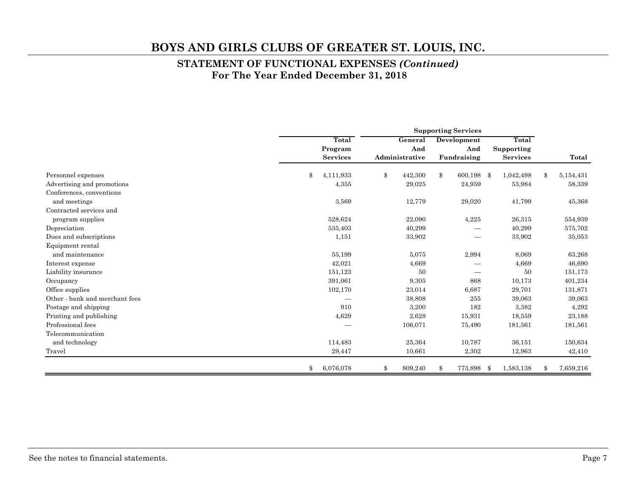#### **STATEMENT OF FUNCTIONAL EXPENSES** *(Continued)*  **For The Year Ended December 31, 2018**

|                                |                 | <b>Supporting Services</b> |                |             |             |      |                 |            |           |
|--------------------------------|-----------------|----------------------------|----------------|-------------|-------------|------|-----------------|------------|-----------|
|                                | Total           |                            | General        | Development |             |      | Total           |            |           |
|                                | Program         |                            | And            |             | And         |      | Supporting      |            |           |
|                                | <b>Services</b> |                            | Administrative |             | Fundraising |      | <b>Services</b> |            | Total     |
| Personnel expenses             | \$<br>4,111,933 | \$                         | 442,300        | \$          | 600,198 \$  |      | 1,042,498       | $\pmb{\$}$ | 5,154,431 |
| Advertising and promotions     | 4,355           |                            | 29,025         |             | 24,959      |      | 53,984          |            | 58,339    |
| Conferences, conventions       |                 |                            |                |             |             |      |                 |            |           |
| and meetings                   | 3,569           |                            | 12,779         |             | 29,020      |      | 41,799          |            | 45,368    |
| Contracted services and        |                 |                            |                |             |             |      |                 |            |           |
| program supplies               | 528,624         |                            | 22,090         |             | 4,225       |      | 26,315          |            | 554,939   |
| Depreciation                   | 535,403         |                            | 40,299         |             |             |      | 40,299          |            | 575,702   |
| Dues and subscriptions         | 1,151           |                            | 33,902         |             | -           |      | 33,902          |            | 35,053    |
| Equipment rental               |                 |                            |                |             |             |      |                 |            |           |
| and maintenance                | 55,199          |                            | 5,075          |             | 2,994       |      | 8,069           |            | 63,268    |
| Interest expense               | 42,021          |                            | 4,669          |             |             |      | 4,669           |            | 46,690    |
| Liability insurance            | 151,123         |                            | 50             |             |             |      | 50              |            | 151,173   |
| Occupancy                      | 391,061         |                            | 9,305          |             | 868         |      | 10,173          |            | 401,234   |
| Office supplies                | 102,170         |                            | 23,014         |             | 6,687       |      | 29,701          |            | 131,871   |
| Other - bank and merchant fees |                 |                            | 38,808         |             | 255         |      | 39,063          |            | 39,063    |
| Postage and shipping           | 910             |                            | 3,200          |             | 182         |      | 3,382           |            | 4,292     |
| Printing and publishing        | 4,629           |                            | 2,628          |             | 15,931      |      | 18,559          |            | 23,188    |
| Professional fees              |                 |                            | 106,071        |             | 75,490      |      | 181,561         |            | 181,561   |
| Telecommunication              |                 |                            |                |             |             |      |                 |            |           |
| and technology                 | 114,483         |                            | 25,364         |             | 10,787      |      | 36,151          |            | 150,634   |
| Travel                         | 29,447          |                            | 10,661         |             | 2,302       |      | 12,963          |            | 42,410    |
|                                | \$<br>6,076,078 | \$                         | 809,240        | \$          | 773,898     | - \$ | 1,583,138       | \$         | 7,659,216 |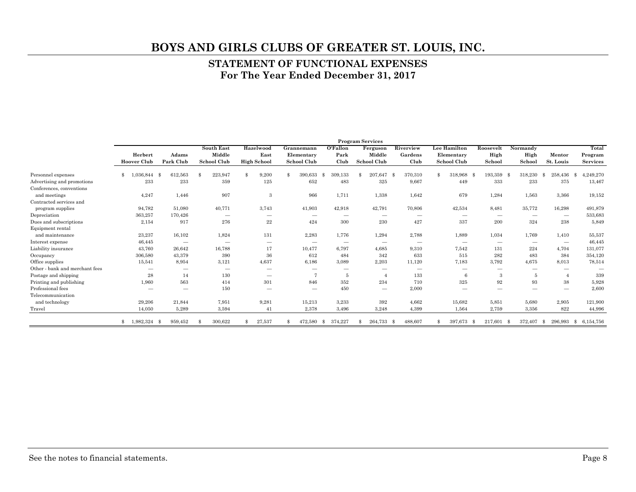#### **STATEMENT OF FUNCTIONAL EXPENSES For The Year Ended December 31, 2017**

|                                |                               |                                 |                                                   |                                         |                                                |                             | <b>Program Services</b>                  |                              |                                                  |                             |                            |                                 |                                     |
|--------------------------------|-------------------------------|---------------------------------|---------------------------------------------------|-----------------------------------------|------------------------------------------------|-----------------------------|------------------------------------------|------------------------------|--------------------------------------------------|-----------------------------|----------------------------|---------------------------------|-------------------------------------|
|                                | Herbert<br><b>Hoover Club</b> | Adams<br>Park Club              | <b>South East</b><br>Middle<br><b>School Club</b> | Hazelwood<br>East<br><b>High School</b> | Grannemann<br>Elementary<br><b>School Club</b> | $O$ 'Fallon<br>Park<br>Club | Ferguson<br>Middle<br><b>School Club</b> | Riverview<br>Gardens<br>Club | Lee Hamilton<br>Elementary<br><b>School Club</b> | Roosevelt<br>High<br>School | Normandy<br>High<br>School | Mentor<br>St. Louis             | Total<br>Program<br><b>Services</b> |
| Personnel expenses             | \$<br>36.844                  | 612,563<br>- 9                  | 223,947<br>\$.                                    | 9,200<br>\$                             | \$<br>390,633                                  | 309,133<br>\$               | 207.647                                  | 370,310<br>-\$               | \$<br>318,968                                    | 193,359<br>-8               | 318,230<br>- \$            | 258,436<br>-\$                  | 4,249,270<br>-8                     |
| Advertising and promotions     | 233                           | 233                             | 359                                               | 125                                     | 652                                            | 483                         | 325                                      | 9,667                        | 449                                              | 333                         | 233                        | 375                             | 13,467                              |
| Conferences, conventions       |                               |                                 |                                                   |                                         |                                                |                             |                                          |                              |                                                  |                             |                            |                                 |                                     |
| and meetings                   | 4,247                         | 1,446                           | 907                                               | 3                                       | 966                                            | 1,711                       | 1,338                                    | 1,642                        | 679                                              | 1,284                       | 1.563                      | 3.366                           | 19,152                              |
| Contracted services and        |                               |                                 |                                                   |                                         |                                                |                             |                                          |                              |                                                  |                             |                            |                                 |                                     |
| program supplies               | 94,782                        | 51,080                          | 40,771                                            | 3,743                                   | 41,903                                         | 42,918                      | 42,791                                   | 70,806                       | 42,534                                           | 8,481                       | 35,772                     | 16,298                          | 491,879                             |
| Depreciation                   | 363,257                       | 170.426                         |                                                   |                                         |                                                |                             |                                          |                              | $\hspace{1.0cm} \rule{1.5cm}{0.15cm}$            |                             | $\overline{\phantom{a}}$   | $\hspace{0.1mm}-\hspace{0.1mm}$ | 533,683                             |
| Dues and subscriptions         | 2,154                         | 917                             | 276                                               | $\bf 22$                                | 424                                            | 300                         | 230                                      | 427                          | 337                                              | 200                         | 324                        | 238                             | 5,849                               |
| Equipment rental               |                               |                                 |                                                   |                                         |                                                |                             |                                          |                              |                                                  |                             |                            |                                 |                                     |
| and maintenance                | 23,237                        | 16,102                          | 1,824                                             | 131                                     | 2,283                                          | 1,776                       | 1,294                                    | 2,788                        | 1,889                                            | 1,034                       | 1,769                      | 1.410                           | 55,537                              |
| Interest expense               | 46,445                        | $\hspace{0.1mm}-\hspace{0.1mm}$ |                                                   | $\overline{\phantom{a}}$                |                                                | $\overline{\phantom{a}}$    | $\overline{\phantom{a}}$                 | $\hspace{0.05cm}$            | $\hspace{0.1mm}-\hspace{0.1mm}$                  | $\sim$                      | $\hspace{0.05cm}$          | $\hspace{0.1mm}-\hspace{0.1mm}$ | 46,445                              |
| Liability insurance            | 43,760                        | 26.642                          | 16,788                                            | 17                                      | 10,477                                         | 6.797                       | 4.685                                    | 9,310                        | 7,542                                            | 131                         | 224                        | 4.704                           | 131,077                             |
| Occupancy                      | 306,580                       | 43,379                          | 390                                               | 36                                      | 612                                            | 484                         | 342                                      | 633                          | 515                                              | 282                         | 483                        | 384                             | 354,120                             |
| Office supplies                | 15,541                        | 8,954                           | 3,121                                             | 4,637                                   | 6,186                                          | 3,089                       | 2,203                                    | 11,120                       | 7,183                                            | 3,792                       | 4,675                      | 8,013                           | 78,514                              |
| Other - bank and merchant fees | -                             | $\overline{\phantom{a}}$        | $\overline{\phantom{a}}$                          | $\overline{\phantom{a}}$                |                                                | $\overline{\phantom{a}}$    | $\overline{\phantom{a}}$                 | -                            | $\overline{\phantom{a}}$                         | -                           | -                          |                                 |                                     |
| Postage and shipping           | 28                            | 14                              | 130                                               |                                         | 7                                              | $\overline{5}$              |                                          | 133                          | 6                                                | 3                           | -5                         | -4                              | 339                                 |
| Printing and publishing        | 1,960                         | 563                             | 414                                               | 301                                     | 846                                            | 352                         | 234                                      | 710                          | 325                                              | 92                          | 93                         | 38                              | 5,928                               |
| Professional fees              | -                             | -                               | 150                                               |                                         | -                                              | 450                         | $\hspace{0.05cm}$                        | 2,000                        | $\overline{\phantom{a}}$                         |                             | -                          | $\overline{\phantom{m}}$        | 2,600                               |
| Telecommunication              |                               |                                 |                                                   |                                         |                                                |                             |                                          |                              |                                                  |                             |                            |                                 |                                     |
| and technology                 | 29,206                        | 21,844                          | 7,951                                             | 9,281                                   | 15,213                                         | 3,233                       | 392                                      | 4,662                        | 15,682                                           | 5,851                       | 5,680                      | 2,905                           | 121,900                             |
| Travel                         | 14,050                        | 5,289                           | 3,594                                             | 41                                      | 2,378                                          | 3,496                       | 3,248                                    | 4,399                        | 1,564                                            | 2,759                       | 3,356                      | 822                             | 44,996                              |
|                                | 1,982,324<br>\$               | 959,452                         | 300,622                                           | 27,537<br>\$                            | 472,580<br>\$                                  | 374,227<br>\$               | 264,733                                  | 488,607<br>- \$              | 397,673<br>\$                                    | 217,601<br>-8               | 372,407<br>- \$            | 296.993<br>- \$                 | 6.154.756<br>-S                     |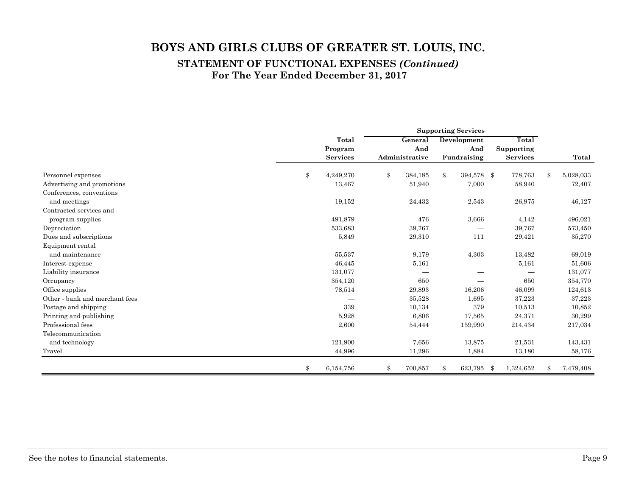#### **STATEMENT OF FUNCTIONAL EXPENSES** *(Continued)*  **For The Year Ended December 31, 2017**

|                                | <b>Supporting Services</b> |                 |         |                |    |             |     |                 |                 |
|--------------------------------|----------------------------|-----------------|---------|----------------|----|-------------|-----|-----------------|-----------------|
|                                |                            | Total           | General |                |    | Development |     | Total           |                 |
|                                |                            | Program         |         | And            |    | And         |     | Supporting      |                 |
|                                |                            | <b>Services</b> |         | Administrative |    | Fundraising |     | <b>Services</b> | Total           |
| Personnel expenses             | \$                         | 4,249,270       | \$      | 384,185        | \$ | 394,578     | \$  | 778,763         | \$<br>5,028,033 |
| Advertising and promotions     |                            | 13,467          |         | 51,940         |    | 7,000       |     | 58,940          | 72,407          |
| Conferences, conventions       |                            |                 |         |                |    |             |     |                 |                 |
| and meetings                   |                            | 19,152          |         | 24,432         |    | 2,543       |     | 26,975          | 46,127          |
| Contracted services and        |                            |                 |         |                |    |             |     |                 |                 |
| program supplies               |                            | 491,879         |         | 476            |    | 3.666       |     | 4,142           | 496,021         |
| Depreciation                   |                            | 533,683         |         | 39,767         |    |             |     | 39,767          | 573,450         |
| Dues and subscriptions         |                            | 5,849           |         | 29,310         |    | 111         |     | 29,421          | 35,270          |
| Equipment rental               |                            |                 |         |                |    |             |     |                 |                 |
| and maintenance                |                            | 55,537          |         | 9,179          |    | 4,303       |     | 13,482          | 69,019          |
| Interest expense               |                            | 46,445          |         | 5,161          |    |             |     | 5,161           | 51,606          |
| Liability insurance            |                            | 131,077         |         |                |    |             |     |                 | 131,077         |
| Occupancy                      |                            | 354,120         |         | 650            |    |             |     | 650             | 354,770         |
| Office supplies                |                            | 78,514          |         | 29,893         |    | 16,206      |     | 46,099          | 124,613         |
| Other - bank and merchant fees |                            |                 |         | 35,528         |    | 1,695       |     | 37,223          | 37,223          |
| Postage and shipping           |                            | 339             |         | 10,134         |    | 379         |     | 10,513          | 10,852          |
| Printing and publishing        |                            | 5.928           |         | 6,806          |    | 17,565      |     | 24,371          | 30,299          |
| Professional fees              |                            | 2,600           |         | 54,444         |    | 159,990     |     | 214,434         | 217,034         |
| Telecommunication              |                            |                 |         |                |    |             |     |                 |                 |
| and technology                 |                            | 121,900         |         | 7.656          |    | 13,875      |     | 21,531          | 143,431         |
| Travel                         |                            | 44,996          |         | 11,296         |    | 1,884       |     | 13,180          | 58,176          |
|                                | \$                         | 6,154,756       | \$      | 700,857        | \$ | 623,795     | -\$ | 1,324,652       | \$<br>7,479,408 |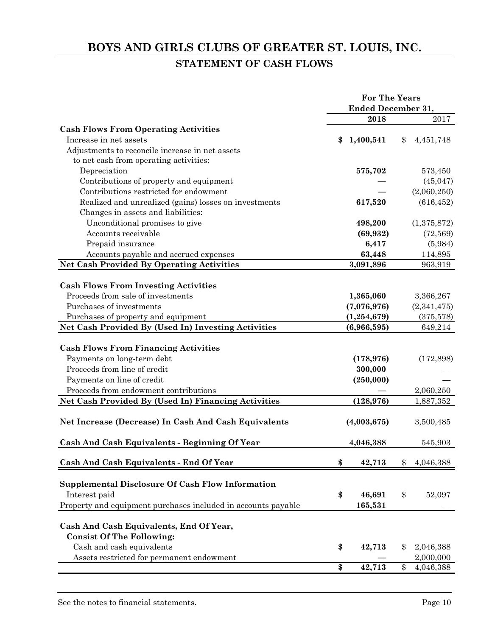# **BOYS AND GIRLS CLUBS OF GREATER ST. LOUIS, INC. STATEMENT OF CASH FLOWS**

|                                                               | <b>For The Years</b> |                           |    |             |  |
|---------------------------------------------------------------|----------------------|---------------------------|----|-------------|--|
|                                                               |                      | <b>Ended December 31,</b> |    |             |  |
|                                                               |                      | 2018                      |    | 2017        |  |
| <b>Cash Flows From Operating Activities</b>                   |                      |                           |    |             |  |
| Increase in net assets                                        | \$                   | 1,400,541                 | \$ | 4,451,748   |  |
| Adjustments to reconcile increase in net assets               |                      |                           |    |             |  |
| to net cash from operating activities:                        |                      |                           |    |             |  |
| Depreciation                                                  |                      | 575,702                   |    | 573,450     |  |
| Contributions of property and equipment                       |                      |                           |    | (45, 047)   |  |
| Contributions restricted for endowment                        |                      |                           |    | (2,060,250) |  |
| Realized and unrealized (gains) losses on investments         |                      | 617,520                   |    | (616, 452)  |  |
| Changes in assets and liabilities:                            |                      |                           |    |             |  |
| Unconditional promises to give                                |                      | 498,200                   |    | (1,375,872) |  |
| Accounts receivable                                           |                      | (69, 932)                 |    | (72, 569)   |  |
| Prepaid insurance                                             |                      | 6,417                     |    | (5,984)     |  |
| Accounts payable and accrued expenses                         |                      | 63,448                    |    | 114,895     |  |
| <b>Net Cash Provided By Operating Activities</b>              |                      | 3,091,896                 |    | 963,919     |  |
|                                                               |                      |                           |    |             |  |
| <b>Cash Flows From Investing Activities</b>                   |                      |                           |    |             |  |
| Proceeds from sale of investments                             |                      | 1,365,060                 |    | 3,366,267   |  |
| Purchases of investments                                      |                      | (7,076,976)               |    | (2,341,475) |  |
| Purchases of property and equipment                           |                      | (1, 254, 679)             |    | (375,578)   |  |
| Net Cash Provided By (Used In) Investing Activities           |                      | (6,966,595)               |    | 649,214     |  |
|                                                               |                      |                           |    |             |  |
| <b>Cash Flows From Financing Activities</b>                   |                      |                           |    |             |  |
| Payments on long-term debt                                    |                      | (178, 976)                |    | (172, 898)  |  |
| Proceeds from line of credit                                  |                      | 300,000                   |    |             |  |
| Payments on line of credit                                    |                      | (250,000)                 |    |             |  |
| Proceeds from endowment contributions                         |                      |                           |    | 2,060,250   |  |
| Net Cash Provided By (Used In) Financing Activities           |                      | (128, 976)                |    | 1,887,352   |  |
|                                                               |                      |                           |    |             |  |
| Net Increase (Decrease) In Cash And Cash Equivalents          |                      | (4,003,675)               |    | 3,500,485   |  |
|                                                               |                      |                           |    |             |  |
| Cash And Cash Equivalents - Beginning Of Year                 |                      | 4,046,388                 |    | 545,903     |  |
|                                                               |                      |                           |    |             |  |
| Cash And Cash Equivalents - End Of Year                       | \$                   | 42,713                    | \$ | 4,046,388   |  |
|                                                               |                      |                           |    |             |  |
| Supplemental Disclosure Of Cash Flow Information              |                      |                           |    |             |  |
| Interest paid                                                 | \$                   | 46,691                    | \$ | 52,097      |  |
| Property and equipment purchases included in accounts payable |                      | 165,531                   |    |             |  |
|                                                               |                      |                           |    |             |  |
| Cash And Cash Equivalents, End Of Year,                       |                      |                           |    |             |  |
| <b>Consist Of The Following:</b>                              |                      |                           |    |             |  |
| Cash and cash equivalents                                     | \$                   | 42,713                    | \$ | 2,046,388   |  |
| Assets restricted for permanent endowment                     |                      |                           |    | 2,000,000   |  |
|                                                               | \$                   | 42,713                    | \$ | 4,046,388   |  |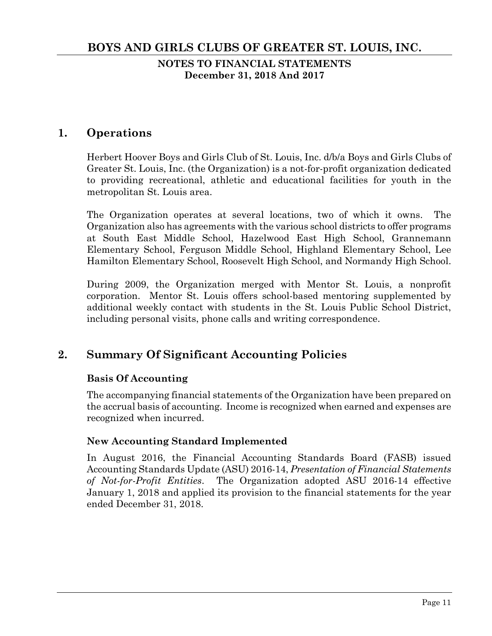**NOTES TO FINANCIAL STATEMENTS December 31, 2018 And 2017** 

# **1. Operations**

Herbert Hoover Boys and Girls Club of St. Louis, Inc. d/b/a Boys and Girls Clubs of Greater St. Louis, Inc. (the Organization) is a not-for-profit organization dedicated to providing recreational, athletic and educational facilities for youth in the metropolitan St. Louis area.

The Organization operates at several locations, two of which it owns. The Organization also has agreements with the various school districts to offer programs at South East Middle School, Hazelwood East High School, Grannemann Elementary School, Ferguson Middle School, Highland Elementary School, Lee Hamilton Elementary School, Roosevelt High School, and Normandy High School.

During 2009, the Organization merged with Mentor St. Louis, a nonprofit corporation. Mentor St. Louis offers school-based mentoring supplemented by additional weekly contact with students in the St. Louis Public School District, including personal visits, phone calls and writing correspondence.

# **2. Summary Of Significant Accounting Policies**

#### **Basis Of Accounting**

The accompanying financial statements of the Organization have been prepared on the accrual basis of accounting. Income is recognized when earned and expenses are recognized when incurred.

#### **New Accounting Standard Implemented**

In August 2016, the Financial Accounting Standards Board (FASB) issued Accounting Standards Update (ASU) 2016-14, *Presentation of Financial Statements of Not-for-Profit Entities*. The Organization adopted ASU 2016-14 effective January 1, 2018 and applied its provision to the financial statements for the year ended December 31, 2018.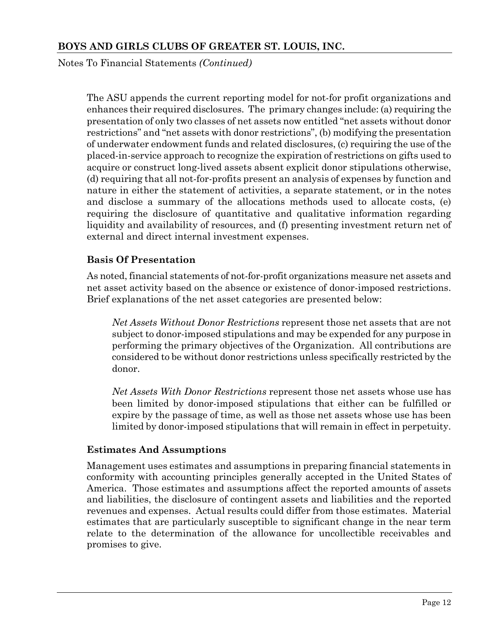Notes To Financial Statements *(Continued)*

The ASU appends the current reporting model for not-for profit organizations and enhances their required disclosures. The primary changes include: (a) requiring the presentation of only two classes of net assets now entitled "net assets without donor restrictions" and "net assets with donor restrictions", (b) modifying the presentation of underwater endowment funds and related disclosures, (c) requiring the use of the placed-in-service approach to recognize the expiration of restrictions on gifts used to acquire or construct long-lived assets absent explicit donor stipulations otherwise, (d) requiring that all not-for-profits present an analysis of expenses by function and nature in either the statement of activities, a separate statement, or in the notes and disclose a summary of the allocations methods used to allocate costs, (e) requiring the disclosure of quantitative and qualitative information regarding liquidity and availability of resources, and (f) presenting investment return net of external and direct internal investment expenses.

#### **Basis Of Presentation**

As noted, financial statements of not-for-profit organizations measure net assets and net asset activity based on the absence or existence of donor-imposed restrictions. Brief explanations of the net asset categories are presented below:

*Net Assets Without Donor Restrictions* represent those net assets that are not subject to donor-imposed stipulations and may be expended for any purpose in performing the primary objectives of the Organization. All contributions are considered to be without donor restrictions unless specifically restricted by the donor.

*Net Assets With Donor Restrictions* represent those net assets whose use has been limited by donor-imposed stipulations that either can be fulfilled or expire by the passage of time, as well as those net assets whose use has been limited by donor-imposed stipulations that will remain in effect in perpetuity.

#### **Estimates And Assumptions**

Management uses estimates and assumptions in preparing financial statements in conformity with accounting principles generally accepted in the United States of America. Those estimates and assumptions affect the reported amounts of assets and liabilities, the disclosure of contingent assets and liabilities and the reported revenues and expenses. Actual results could differ from those estimates. Material estimates that are particularly susceptible to significant change in the near term relate to the determination of the allowance for uncollectible receivables and promises to give.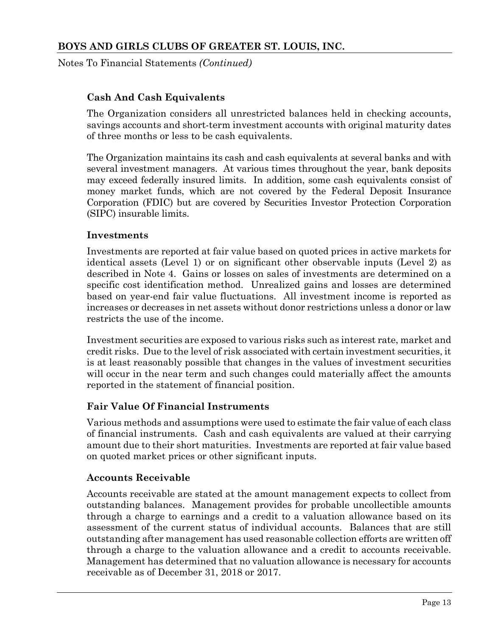Notes To Financial Statements *(Continued)*

#### **Cash And Cash Equivalents**

The Organization considers all unrestricted balances held in checking accounts, savings accounts and short-term investment accounts with original maturity dates of three months or less to be cash equivalents.

The Organization maintains its cash and cash equivalents at several banks and with several investment managers. At various times throughout the year, bank deposits may exceed federally insured limits. In addition, some cash equivalents consist of money market funds, which are not covered by the Federal Deposit Insurance Corporation (FDIC) but are covered by Securities Investor Protection Corporation (SIPC) insurable limits.

#### **Investments**

Investments are reported at fair value based on quoted prices in active markets for identical assets (Level 1) or on significant other observable inputs (Level 2) as described in Note 4. Gains or losses on sales of investments are determined on a specific cost identification method. Unrealized gains and losses are determined based on year-end fair value fluctuations. All investment income is reported as increases or decreases in net assets without donor restrictions unless a donor or law restricts the use of the income.

Investment securities are exposed to various risks such as interest rate, market and credit risks. Due to the level of risk associated with certain investment securities, it is at least reasonably possible that changes in the values of investment securities will occur in the near term and such changes could materially affect the amounts reported in the statement of financial position.

#### **Fair Value Of Financial Instruments**

Various methods and assumptions were used to estimate the fair value of each class of financial instruments. Cash and cash equivalents are valued at their carrying amount due to their short maturities. Investments are reported at fair value based on quoted market prices or other significant inputs.

#### **Accounts Receivable**

Accounts receivable are stated at the amount management expects to collect from outstanding balances. Management provides for probable uncollectible amounts through a charge to earnings and a credit to a valuation allowance based on its assessment of the current status of individual accounts. Balances that are still outstanding after management has used reasonable collection efforts are written off through a charge to the valuation allowance and a credit to accounts receivable. Management has determined that no valuation allowance is necessary for accounts receivable as of December 31, 2018 or 2017.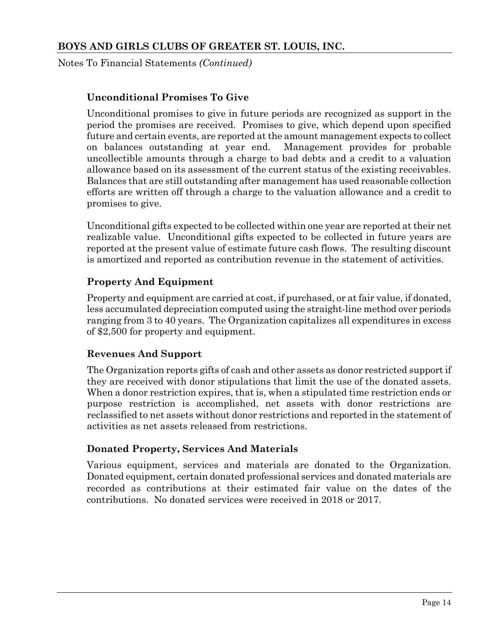Notes To Financial Statements *(Continued)*

#### **Unconditional Promises To Give**

Unconditional promises to give in future periods are recognized as support in the period the promises are received. Promises to give, which depend upon specified future and certain events, are reported at the amount management expects to collect on balances outstanding at year end. Management provides for probable uncollectible amounts through a charge to bad debts and a credit to a valuation allowance based on its assessment of the current status of the existing receivables. Balances that are still outstanding after management has used reasonable collection efforts are written off through a charge to the valuation allowance and a credit to promises to give.

Unconditional gifts expected to be collected within one year are reported at their net realizable value. Unconditional gifts expected to be collected in future years are reported at the present value of estimate future cash flows. The resulting discount is amortized and reported as contribution revenue in the statement of activities.

#### **Property And Equipment**

Property and equipment are carried at cost, if purchased, or at fair value, if donated, less accumulated depreciation computed using the straight-line method over periods ranging from 3 to 40 years. The Organization capitalizes all expenditures in excess of \$2,500 for property and equipment.

#### **Revenues And Support**

The Organization reports gifts of cash and other assets as donor restricted support if they are received with donor stipulations that limit the use of the donated assets. When a donor restriction expires, that is, when a stipulated time restriction ends or purpose restriction is accomplished, net assets with donor restrictions are reclassified to net assets without donor restrictions and reported in the statement of activities as net assets released from restrictions.

#### **Donated Property, Services And Materials**

Various equipment, services and materials are donated to the Organization. Donated equipment, certain donated professional services and donated materials are recorded as contributions at their estimated fair value on the dates of the contributions. No donated services were received in 2018 or 2017.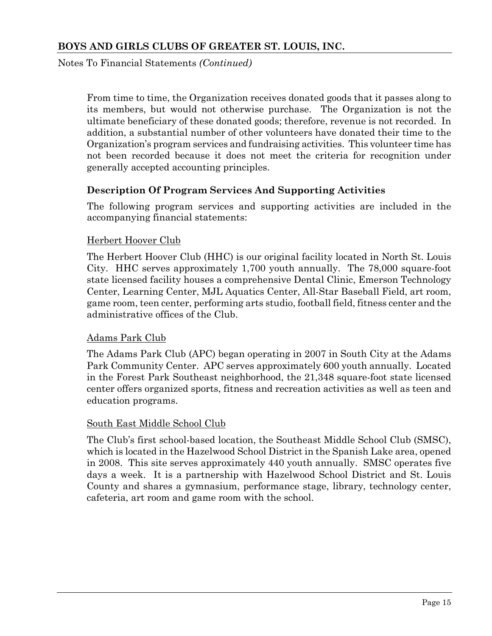Notes To Financial Statements *(Continued)*

From time to time, the Organization receives donated goods that it passes along to its members, but would not otherwise purchase. The Organization is not the ultimate beneficiary of these donated goods; therefore, revenue is not recorded. In addition, a substantial number of other volunteers have donated their time to the Organization's program services and fundraising activities. This volunteer time has not been recorded because it does not meet the criteria for recognition under generally accepted accounting principles.

#### **Description Of Program Services And Supporting Activities**

The following program services and supporting activities are included in the accompanying financial statements:

#### Herbert Hoover Club

The Herbert Hoover Club (HHC) is our original facility located in North St. Louis City. HHC serves approximately 1,700 youth annually. The 78,000 square-foot state licensed facility houses a comprehensive Dental Clinic, Emerson Technology Center, Learning Center, MJL Aquatics Center, All-Star Baseball Field, art room, game room, teen center, performing arts studio, football field, fitness center and the administrative offices of the Club.

#### Adams Park Club

The Adams Park Club (APC) began operating in 2007 in South City at the Adams Park Community Center. APC serves approximately 600 youth annually. Located in the Forest Park Southeast neighborhood, the 21,348 square-foot state licensed center offers organized sports, fitness and recreation activities as well as teen and education programs.

#### South East Middle School Club

The Club's first school-based location, the Southeast Middle School Club (SMSC), which is located in the Hazelwood School District in the Spanish Lake area, opened in 2008. This site serves approximately 440 youth annually. SMSC operates five days a week. It is a partnership with Hazelwood School District and St. Louis County and shares a gymnasium, performance stage, library, technology center, cafeteria, art room and game room with the school.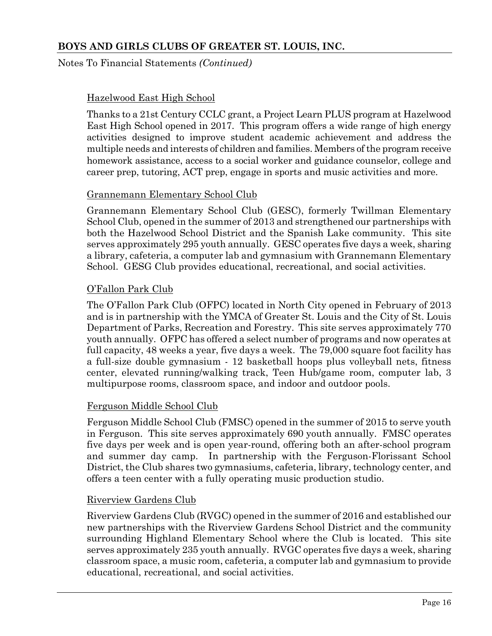Notes To Financial Statements *(Continued)*

#### Hazelwood East High School

Thanks to a 21st Century CCLC grant, a Project Learn PLUS program at Hazelwood East High School opened in 2017. This program offers a wide range of high energy activities designed to improve student academic achievement and address the multiple needs and interests of children and families. Members of the program receive homework assistance, access to a social worker and guidance counselor, college and career prep, tutoring, ACT prep, engage in sports and music activities and more.

#### Grannemann Elementary School Club

Grannemann Elementary School Club (GESC), formerly Twillman Elementary School Club, opened in the summer of 2013 and strengthened our partnerships with both the Hazelwood School District and the Spanish Lake community. This site serves approximately 295 youth annually. GESC operates five days a week, sharing a library, cafeteria, a computer lab and gymnasium with Grannemann Elementary School. GESG Club provides educational, recreational, and social activities.

#### O'Fallon Park Club

The O'Fallon Park Club (OFPC) located in North City opened in February of 2013 and is in partnership with the YMCA of Greater St. Louis and the City of St. Louis Department of Parks, Recreation and Forestry. This site serves approximately 770 youth annually. OFPC has offered a select number of programs and now operates at full capacity, 48 weeks a year, five days a week. The 79,000 square foot facility has a full-size double gymnasium - 12 basketball hoops plus volleyball nets, fitness center, elevated running/walking track, Teen Hub/game room, computer lab, 3 multipurpose rooms, classroom space, and indoor and outdoor pools.

#### Ferguson Middle School Club

Ferguson Middle School Club (FMSC) opened in the summer of 2015 to serve youth in Ferguson. This site serves approximately 690 youth annually. FMSC operates five days per week and is open year-round, offering both an after-school program and summer day camp. In partnership with the Ferguson-Florissant School District, the Club shares two gymnasiums, cafeteria, library, technology center, and offers a teen center with a fully operating music production studio.

#### Riverview Gardens Club

Riverview Gardens Club (RVGC) opened in the summer of 2016 and established our new partnerships with the Riverview Gardens School District and the community surrounding Highland Elementary School where the Club is located. This site serves approximately 235 youth annually. RVGC operates five days a week, sharing classroom space, a music room, cafeteria, a computer lab and gymnasium to provide educational, recreational, and social activities.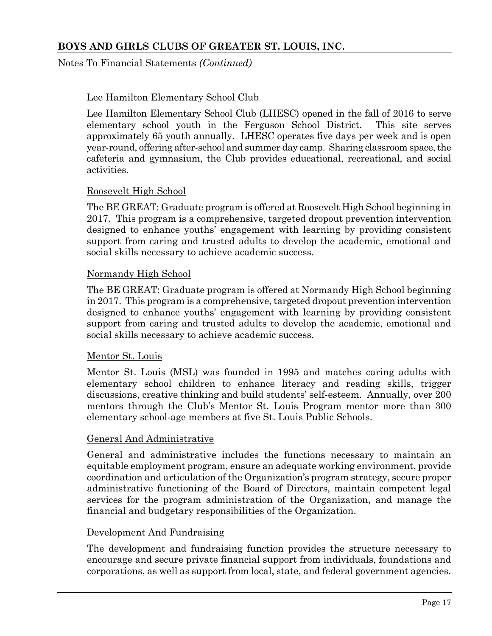#### Notes To Financial Statements *(Continued)*

#### Lee Hamilton Elementary School Club

Lee Hamilton Elementary School Club (LHESC) opened in the fall of 2016 to serve elementary school youth in the Ferguson School District. This site serves approximately 65 youth annually. LHESC operates five days per week and is open year-round, offering after-school and summer day camp. Sharing classroom space, the cafeteria and gymnasium, the Club provides educational, recreational, and social activities.

#### Roosevelt High School

The BE GREAT: Graduate program is offered at Roosevelt High School beginning in 2017. This program is a comprehensive, targeted dropout prevention intervention designed to enhance youths' engagement with learning by providing consistent support from caring and trusted adults to develop the academic, emotional and social skills necessary to achieve academic success.

#### Normandy High School

The BE GREAT: Graduate program is offered at Normandy High School beginning in 2017. This program is a comprehensive, targeted dropout prevention intervention designed to enhance youths' engagement with learning by providing consistent support from caring and trusted adults to develop the academic, emotional and social skills necessary to achieve academic success.

#### Mentor St. Louis

Mentor St. Louis (MSL) was founded in 1995 and matches caring adults with elementary school children to enhance literacy and reading skills, trigger discussions, creative thinking and build students' self-esteem. Annually, over 200 mentors through the Club's Mentor St. Louis Program mentor more than 300 elementary school-age members at five St. Louis Public Schools.

#### General And Administrative

General and administrative includes the functions necessary to maintain an equitable employment program, ensure an adequate working environment, provide coordination and articulation of the Organization's program strategy, secure proper administrative functioning of the Board of Directors, maintain competent legal services for the program administration of the Organization, and manage the financial and budgetary responsibilities of the Organization.

#### Development And Fundraising

The development and fundraising function provides the structure necessary to encourage and secure private financial support from individuals, foundations and corporations, as well as support from local, state, and federal government agencies.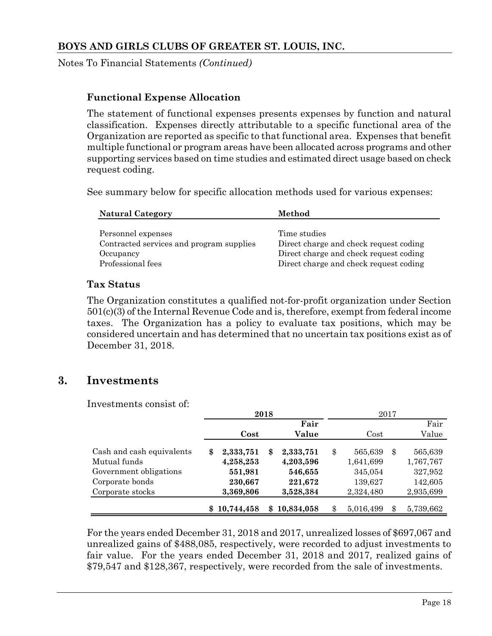Notes To Financial Statements *(Continued)*

#### **Functional Expense Allocation**

The statement of functional expenses presents expenses by function and natural classification. Expenses directly attributable to a specific functional area of the Organization are reported as specific to that functional area. Expenses that benefit multiple functional or program areas have been allocated across programs and other supporting services based on time studies and estimated direct usage based on check request coding.

See summary below for specific allocation methods used for various expenses:

| <b>Natural Category</b>                  | Method                                 |
|------------------------------------------|----------------------------------------|
| Personnel expenses                       | Time studies                           |
| Contracted services and program supplies | Direct charge and check request coding |
| Occupancy                                | Direct charge and check request coding |
| Professional fees                        | Direct charge and check request coding |

#### **Tax Status**

The Organization constitutes a qualified not-for-profit organization under Section 501(c)(3) of the Internal Revenue Code and is, therefore, exempt from federal income taxes. The Organization has a policy to evaluate tax positions, which may be considered uncertain and has determined that no uncertain tax positions exist as of December 31, 2018.

#### **3. Investments**

Investments consist of:

|                           | 2018 |            |    |            | 2017 |           |    |           |  |
|---------------------------|------|------------|----|------------|------|-----------|----|-----------|--|
|                           |      |            |    | Fair       |      |           |    | Fair      |  |
|                           |      | Cost       |    | Value      |      | Cost      |    | Value     |  |
| Cash and cash equivalents | \$   | 2,333,751  | \$ | 2,333,751  | \$   | 565,639   | \$ | 565,639   |  |
| Mutual funds              |      | 4,258,253  |    | 4,203,596  |      | 1,641,699 |    | 1,767,767 |  |
| Government obligations    |      | 551,981    |    | 546,655    |      | 345,054   |    | 327,952   |  |
| Corporate bonds           |      | 230,667    |    | 221,672    |      | 139,627   |    | 142,605   |  |
| Corporate stocks          |      | 3,369,806  |    | 3,528,384  |      | 2,324,480 |    | 2,935,699 |  |
|                           | \$   | 10,744,458 | \$ | 10,834,058 |      | 5,016,499 |    | 5,739,662 |  |

For the years ended December 31, 2018 and 2017, unrealized losses of \$697,067 and unrealized gains of \$488,085, respectively, were recorded to adjust investments to fair value. For the years ended December 31, 2018 and 2017, realized gains of \$79,547 and \$128,367, respectively, were recorded from the sale of investments.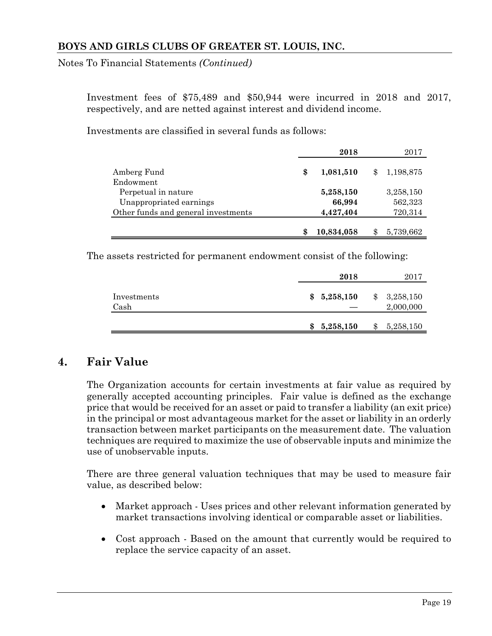Notes To Financial Statements *(Continued)*

Investment fees of \$75,489 and \$50,944 were incurred in 2018 and 2017, respectively, and are netted against interest and dividend income.

Investments are classified in several funds as follows:

|                                     | 2018             |     | 2017      |
|-------------------------------------|------------------|-----|-----------|
| Amberg Fund                         | \$<br>1,081,510  | \$. | 1,198,875 |
| Endowment                           |                  |     |           |
| Perpetual in nature                 | 5,258,150        |     | 3,258,150 |
| Unappropriated earnings             | 66,994           |     | 562,323   |
| Other funds and general investments | 4,427,404        |     | 720,314   |
|                                     |                  |     |           |
|                                     | \$<br>10,834,058 |     | 5,739,662 |

The assets restricted for permanent endowment consist of the following:

|                     | 2018            |     | 2017                   |
|---------------------|-----------------|-----|------------------------|
| Investments<br>Cash | \$5,258,150     | \$  | 3,258,150<br>2,000,000 |
|                     | \$<br>5,258,150 | \$. | 5,258,150              |

# **4. Fair Value**

The Organization accounts for certain investments at fair value as required by generally accepted accounting principles. Fair value is defined as the exchange price that would be received for an asset or paid to transfer a liability (an exit price) in the principal or most advantageous market for the asset or liability in an orderly transaction between market participants on the measurement date. The valuation techniques are required to maximize the use of observable inputs and minimize the use of unobservable inputs.

There are three general valuation techniques that may be used to measure fair value, as described below:

- Market approach Uses prices and other relevant information generated by market transactions involving identical or comparable asset or liabilities.
- Cost approach Based on the amount that currently would be required to replace the service capacity of an asset.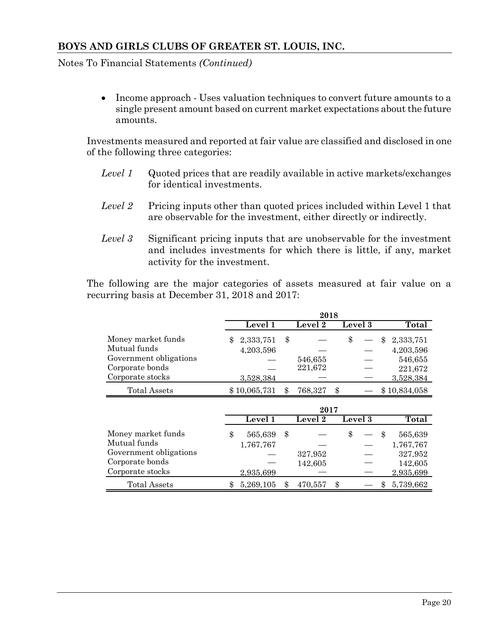Notes To Financial Statements *(Continued)*

 Income approach - Uses valuation techniques to convert future amounts to a single present amount based on current market expectations about the future amounts.

Investments measured and reported at fair value are classified and disclosed in one of the following three categories:

- *Level 1* Quoted prices that are readily available in active markets/exchanges for identical investments.
- *Level 2* Pricing inputs other than quoted prices included within Level 1 that are observable for the investment, either directly or indirectly.
- *Level 3* Significant pricing inputs that are unobservable for the investment and includes investments for which there is little, if any, market activity for the investment.

The following are the major categories of assets measured at fair value on a recurring basis at December 31, 2018 and 2017:

|                                                           |                              | 2018               |    |         |    |                        |
|-----------------------------------------------------------|------------------------------|--------------------|----|---------|----|------------------------|
|                                                           | Level 1                      | Level 2            |    | Level 3 |    | Total                  |
| Money market funds<br>Mutual funds                        | \$<br>2,333,751<br>4,203,596 | \$                 | \$ |         | \$ | 2,333,751<br>4,203,596 |
| Government obligations<br>Corporate bonds                 |                              | 546,655<br>221,672 |    |         |    | 546,655<br>221,672     |
| Corporate stocks                                          | 3,528,384                    |                    |    |         |    | 3,528,384              |
| <b>Total Assets</b>                                       | \$10,065,731                 | \$<br>768,327      | \$ |         |    | \$10,834,058           |
|                                                           |                              | 2017               |    |         |    |                        |
|                                                           | Level1                       | Level 2            |    | Level 3 |    | <b>Total</b>           |
|                                                           |                              |                    |    |         |    |                        |
| Money market funds                                        | \$<br>565,639                | \$                 | \$ |         | \$ | 565,639                |
| Mutual funds<br>Government obligations<br>Corporate bonds | 1,767,767                    | 327.952            |    |         |    | 1,767,767<br>327.952   |
| Corporate stocks                                          | 2,935,699                    | 142,605            |    |         |    | 142,605<br>2,935,699   |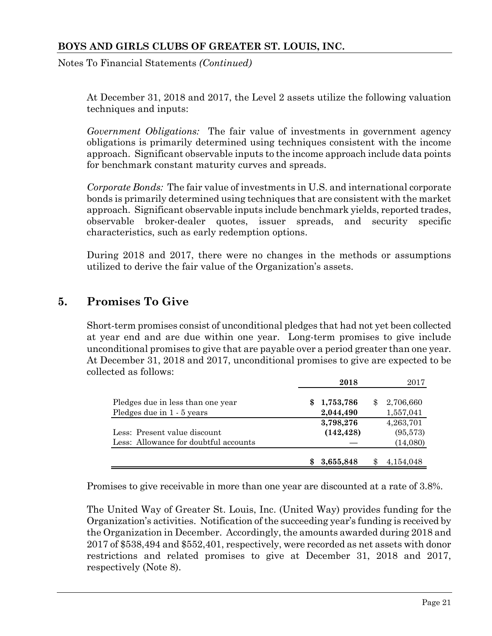Notes To Financial Statements *(Continued)*

At December 31, 2018 and 2017, the Level 2 assets utilize the following valuation techniques and inputs:

*Government Obligations:* The fair value of investments in government agency obligations is primarily determined using techniques consistent with the income approach. Significant observable inputs to the income approach include data points for benchmark constant maturity curves and spreads.

*Corporate Bonds:* The fair value of investments in U.S. and international corporate bonds is primarily determined using techniques that are consistent with the market approach. Significant observable inputs include benchmark yields, reported trades, observable broker-dealer quotes, issuer spreads, and security specific characteristics, such as early redemption options.

During 2018 and 2017, there were no changes in the methods or assumptions utilized to derive the fair value of the Organization's assets.

# **5. Promises To Give**

Short-term promises consist of unconditional pledges that had not yet been collected at year end and are due within one year. Long-term promises to give include unconditional promises to give that are payable over a period greater than one year. At December 31, 2018 and 2017, unconditional promises to give are expected to be collected as follows:

|                                       | 2018       | 2017            |
|---------------------------------------|------------|-----------------|
| Pledges due in less than one year     | 1,753,786  | \$<br>2,706,660 |
| Pledges due in 1 - 5 years            | 2,044,490  | 1,557,041       |
|                                       | 3,798,276  | 4,263,701       |
| Less: Present value discount          | (142, 428) | (95,573)        |
| Less: Allowance for doubtful accounts |            | (14,080)        |
|                                       |            |                 |
|                                       | 3,655,848  | 4,154,048       |

Promises to give receivable in more than one year are discounted at a rate of 3.8%.

The United Way of Greater St. Louis, Inc. (United Way) provides funding for the Organization's activities. Notification of the succeeding year's funding is received by the Organization in December. Accordingly, the amounts awarded during 2018 and 2017 of \$538,494 and \$552,401, respectively, were recorded as net assets with donor restrictions and related promises to give at December 31, 2018 and 2017, respectively (Note 8).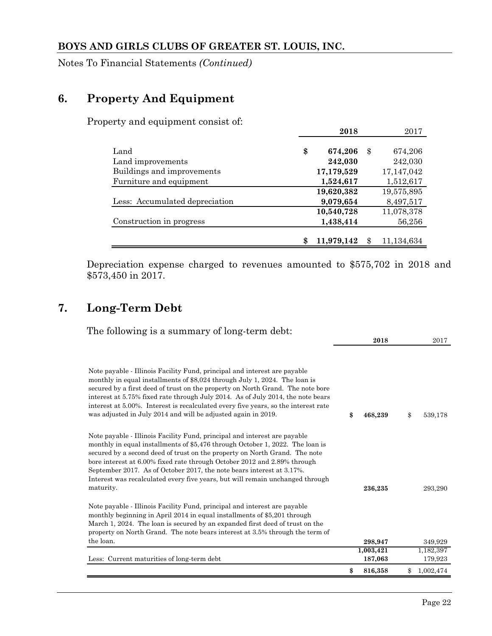Notes To Financial Statements *(Continued)*

# **6. Property And Equipment**

Property and equipment consist of:

|                                | 2018             |     | 2017       |
|--------------------------------|------------------|-----|------------|
|                                |                  |     |            |
| Land                           | \$<br>674,206    | \$. | 674,206    |
| Land improvements              | 242,030          |     | 242,030    |
| Buildings and improvements     | 17,179,529       |     | 17,147,042 |
| Furniture and equipment        | 1,524,617        |     | 1,512,617  |
|                                | 19,620,382       |     | 19,575,895 |
| Less: Accumulated depreciation | 9,079,654        |     | 8,497,517  |
|                                | 10,540,728       |     | 11,078,378 |
| Construction in progress       | 1,438,414        |     | 56,256     |
|                                |                  |     |            |
|                                | \$<br>11,979,142 |     | 11,134,634 |

Depreciation expense charged to revenues amounted to \$575,702 in 2018 and \$573,450 in 2017.

# **7. Long-Term Debt**

| The following is a summary of long-term debt:                                                                                                                                                                                                                                                                                                                                                                                                                                               |               |                 |
|---------------------------------------------------------------------------------------------------------------------------------------------------------------------------------------------------------------------------------------------------------------------------------------------------------------------------------------------------------------------------------------------------------------------------------------------------------------------------------------------|---------------|-----------------|
|                                                                                                                                                                                                                                                                                                                                                                                                                                                                                             | 2018          | 2017            |
| Note payable - Illinois Facility Fund, principal and interest are payable<br>monthly in equal installments of \$8,024 through July 1, 2024. The loan is<br>secured by a first deed of trust on the property on North Grand. The note bore<br>interest at 5.75% fixed rate through July 2014. As of July 2014, the note bears<br>interest at 5.00%. Interest is recalculated every five years, so the interest rate<br>was adjusted in July 2014 and will be adjusted again in 2019.         | \$<br>468,239 | \$<br>539,178   |
| Note payable - Illinois Facility Fund, principal and interest are payable<br>monthly in equal installments of \$5,476 through October 1, 2022. The loan is<br>secured by a second deed of trust on the property on North Grand. The note<br>bore interest at 6.00% fixed rate through October 2012 and 2.89% through<br>September 2017. As of October 2017, the note bears interest at 3.17%.<br>Interest was recalculated every five years, but will remain unchanged through<br>maturity. | 236,235       | 293,290         |
| Note payable - Illinois Facility Fund, principal and interest are payable<br>monthly beginning in April 2014 in equal installments of \$5,201 through<br>March 1, 2024. The loan is secured by an expanded first deed of trust on the<br>property on North Grand. The note bears interest at 3.5% through the term of<br>the loan.                                                                                                                                                          | 298,947       | 349,929         |
|                                                                                                                                                                                                                                                                                                                                                                                                                                                                                             | 1,003,421     | 1,182,397       |
| Less: Current maturities of long-term debt                                                                                                                                                                                                                                                                                                                                                                                                                                                  | 187,063       | 179,923         |
|                                                                                                                                                                                                                                                                                                                                                                                                                                                                                             | \$<br>816,358 | \$<br>1,002,474 |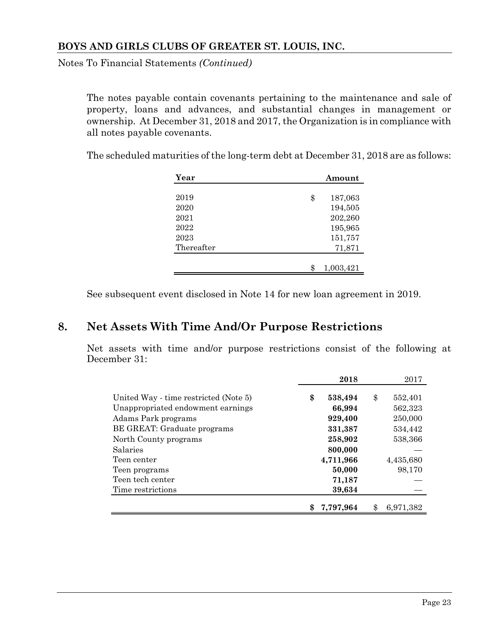Notes To Financial Statements *(Continued)*

The notes payable contain covenants pertaining to the maintenance and sale of property, loans and advances, and substantial changes in management or ownership. At December 31, 2018 and 2017, the Organization is in compliance with all notes payable covenants.

The scheduled maturities of the long-term debt at December 31, 2018 are as follows:

| Year       | Amount          |
|------------|-----------------|
|            |                 |
| 2019       | \$<br>187,063   |
| 2020       | 194,505         |
| 2021       | 202,260         |
| 2022       | 195,965         |
| 2023       | 151,757         |
| Thereafter | 71,871          |
|            |                 |
|            | \$<br>1,003,421 |

See subsequent event disclosed in Note 14 for new loan agreement in 2019.

# **8. Net Assets With Time And/Or Purpose Restrictions**

Net assets with time and/or purpose restrictions consist of the following at December 31:

|                                                          | 2018               | 2017                |
|----------------------------------------------------------|--------------------|---------------------|
| United Way - time restricted (Note 5)                    | \$<br>538,494      | \$<br>552,401       |
| Unappropriated endowment earnings<br>Adams Park programs | 66,994<br>929,400  | 562,323<br>250,000  |
| BE GREAT: Graduate programs                              | 331,387            | 534,442             |
| North County programs<br>Salaries                        | 258,902<br>800,000 | 538,366             |
| Teen center                                              | 4,711,966          | 4,435,680<br>98,170 |
| Teen programs<br>Teen tech center                        | 50,000<br>71,187   |                     |
| Time restrictions                                        | 39,634             |                     |
|                                                          | 7,797,964          | \$<br>6,971,382     |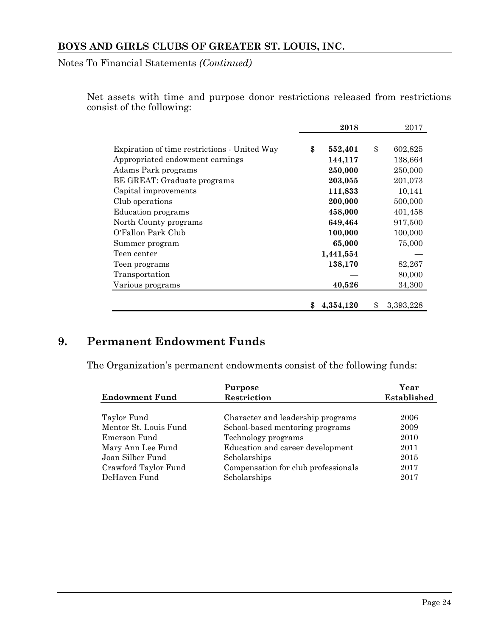Notes To Financial Statements *(Continued)*

Net assets with time and purpose donor restrictions released from restrictions consist of the following:

|                                              | 2018          | 2017            |
|----------------------------------------------|---------------|-----------------|
|                                              |               |                 |
| Expiration of time restrictions - United Way | \$<br>552,401 | \$<br>602,825   |
| Appropriated endowment earnings              | 144,117       | 138,664         |
| Adams Park programs                          | 250,000       | 250,000         |
| BE GREAT: Graduate programs                  | 203,055       | 201,073         |
| Capital improvements                         | 111,833       | 10,141          |
| Club operations                              | 200,000       | 500,000         |
| <b>Education</b> programs                    | 458,000       | 401,458         |
| North County programs                        | 649,464       | 917,500         |
| O'Fallon Park Club                           | 100,000       | 100,000         |
| Summer program                               | 65,000        | 75,000          |
| Teen center                                  | 1,441,554     |                 |
| Teen programs                                | 138,170       | 82,267          |
| Transportation                               |               | 80,000          |
| Various programs                             | 40,526        | 34,300          |
|                                              |               |                 |
|                                              | 4,354,120     | \$<br>3,393,228 |

# **9. Permanent Endowment Funds**

The Organization's permanent endowments consist of the following funds:

|                       | Purpose                             | Year        |
|-----------------------|-------------------------------------|-------------|
| <b>Endowment Fund</b> | Restriction                         | Established |
|                       |                                     |             |
| Taylor Fund           | Character and leadership programs   | 2006        |
| Mentor St. Louis Fund | School-based mentoring programs     | 2009        |
| Emerson Fund          | Technology programs                 | 2010        |
| Mary Ann Lee Fund     | Education and career development    | 2011        |
| Joan Silber Fund      | Scholarships                        | 2015        |
| Crawford Taylor Fund  | Compensation for club professionals | 2017        |
| DeHaven Fund          | Scholarships                        | 2017        |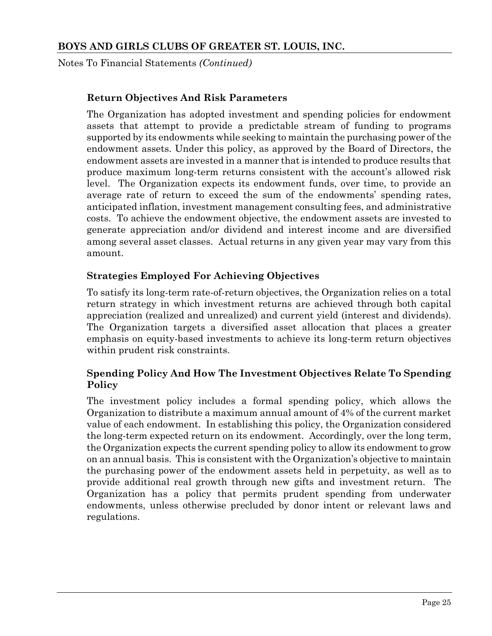Notes To Financial Statements *(Continued)*

#### **Return Objectives And Risk Parameters**

The Organization has adopted investment and spending policies for endowment assets that attempt to provide a predictable stream of funding to programs supported by its endowments while seeking to maintain the purchasing power of the endowment assets. Under this policy, as approved by the Board of Directors, the endowment assets are invested in a manner that is intended to produce results that produce maximum long-term returns consistent with the account's allowed risk level. The Organization expects its endowment funds, over time, to provide an average rate of return to exceed the sum of the endowments' spending rates, anticipated inflation, investment management consulting fees, and administrative costs. To achieve the endowment objective, the endowment assets are invested to generate appreciation and/or dividend and interest income and are diversified among several asset classes. Actual returns in any given year may vary from this amount.

#### **Strategies Employed For Achieving Objectives**

To satisfy its long-term rate-of-return objectives, the Organization relies on a total return strategy in which investment returns are achieved through both capital appreciation (realized and unrealized) and current yield (interest and dividends). The Organization targets a diversified asset allocation that places a greater emphasis on equity-based investments to achieve its long-term return objectives within prudent risk constraints.

#### **Spending Policy And How The Investment Objectives Relate To Spending Policy**

The investment policy includes a formal spending policy, which allows the Organization to distribute a maximum annual amount of 4% of the current market value of each endowment. In establishing this policy, the Organization considered the long-term expected return on its endowment. Accordingly, over the long term, the Organization expects the current spending policy to allow its endowment to grow on an annual basis. This is consistent with the Organization's objective to maintain the purchasing power of the endowment assets held in perpetuity, as well as to provide additional real growth through new gifts and investment return. The Organization has a policy that permits prudent spending from underwater endowments, unless otherwise precluded by donor intent or relevant laws and regulations.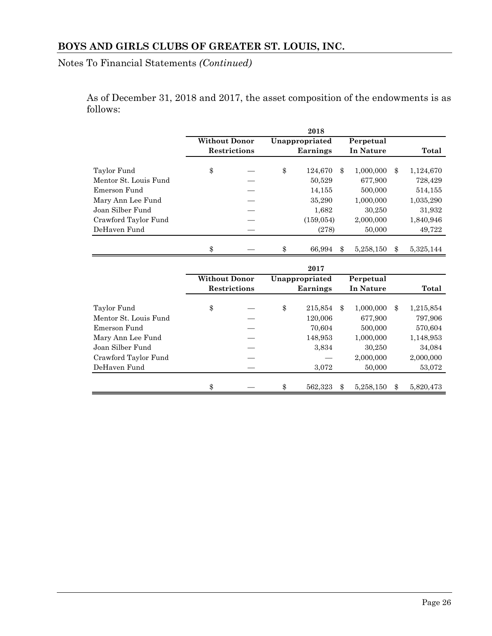Notes To Financial Statements *(Continued)*

As of December 31, 2018 and 2017, the asset composition of the endowments is as follows:

|                                       |                      |                     |                 | 2018           |                |           |               |           |
|---------------------------------------|----------------------|---------------------|-----------------|----------------|----------------|-----------|---------------|-----------|
|                                       | <b>Without Donor</b> |                     |                 | Unappropriated |                | Perpetual |               |           |
|                                       |                      | <b>Restrictions</b> | <b>Earnings</b> |                |                | In Nature |               | Total     |
| Taylor Fund                           | \$                   |                     | \$              | 124,670        | $\mathcal{S}$  | 1,000,000 | $\mathbf{\$}$ | 1,124,670 |
| Mentor St. Louis Fund                 |                      |                     |                 | 50,529         |                | 677.900   |               | 728,429   |
| Emerson Fund                          |                      |                     |                 | 14,155         |                | 500,000   |               |           |
|                                       |                      |                     |                 |                |                |           |               | 514,155   |
| Mary Ann Lee Fund<br>Joan Silber Fund |                      |                     |                 | 35,290         |                | 1,000,000 |               | 1,035,290 |
|                                       |                      |                     |                 | 1,682          |                | 30,250    |               | 31,932    |
| Crawford Taylor Fund<br>DeHaven Fund  |                      |                     |                 | (159, 054)     |                | 2,000,000 |               | 1,840,946 |
|                                       |                      |                     |                 | (278)          |                | 50,000    |               | 49,722    |
|                                       | \$                   |                     | \$              | 66,994         | \$             | 5,258,150 | \$            | 5,325,144 |
|                                       |                      |                     |                 | 2017           |                |           |               |           |
|                                       | <b>Without Donor</b> |                     |                 | Unappropriated |                | Perpetual |               |           |
|                                       |                      | <b>Restrictions</b> |                 | Earnings       |                | In Nature |               | Total     |
| Taylor Fund                           | \$                   |                     | \$              | 215,854        | $\mathbf{\Re}$ | 1,000,000 | $\mathbf{\$}$ | 1,215,854 |
| Mentor St. Louis Fund                 |                      |                     |                 | 120,006        |                | 677,900   |               | 797,906   |
| Emerson Fund                          |                      |                     |                 | 70.604         |                | 500,000   |               | 570,604   |
| Mary Ann Lee Fund                     |                      |                     |                 | 148,953        |                | 1,000,000 |               | 1,148,953 |
| Joan Silber Fund                      |                      |                     |                 | 3,834          |                | 30,250    |               | 34,084    |
| Crawford Taylor Fund                  |                      |                     |                 |                |                | 2,000,000 |               | 2,000,000 |
| DeHaven Fund                          |                      |                     |                 | 3,072          |                | 50,000    |               | 53,072    |
|                                       |                      |                     |                 |                |                |           |               |           |
|                                       | \$                   |                     | \$              | 562,323        | \$             | 5,258,150 | \$            | 5,820,473 |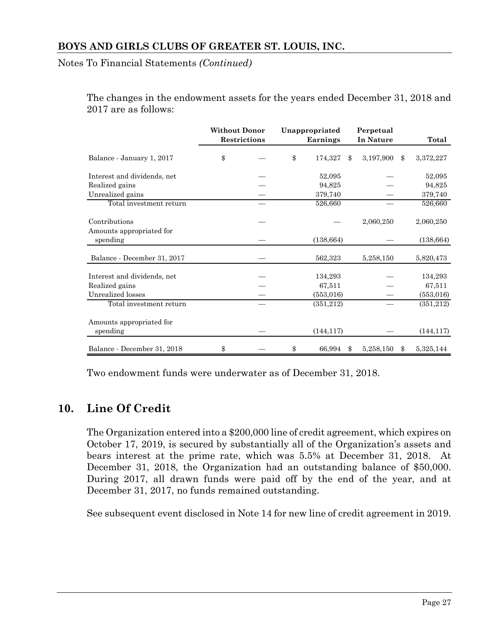Notes To Financial Statements *(Continued)*

The changes in the endowment assets for the years ended December 31, 2018 and 2017 are as follows:

|                                      | <b>Without Donor</b> | <b>Restrictions</b> | Unappropriated<br>Earnings |               | Perpetual<br>In Nature | Total           |
|--------------------------------------|----------------------|---------------------|----------------------------|---------------|------------------------|-----------------|
| Balance - January 1, 2017            | \$                   |                     | \$<br>174,327              | \$            | 3,197,900              | \$<br>3,372,227 |
| Interest and dividends, net          |                      |                     | 52,095                     |               |                        | 52,095          |
| Realized gains                       |                      |                     | 94,825                     |               |                        | 94,825          |
| Unrealized gains                     |                      |                     | 379,740                    |               |                        | 379,740         |
| Total investment return              |                      |                     | 526,660                    |               |                        | 526,660         |
| Contributions                        |                      |                     |                            |               | 2,060,250              | 2,060,250       |
| Amounts appropriated for<br>spending |                      |                     | (138, 664)                 |               |                        | (138, 664)      |
| Balance - December 31, 2017          |                      |                     | 562,323                    |               | 5,258,150              | 5,820,473       |
| Interest and dividends, net          |                      |                     | 134,293                    |               |                        | 134,293         |
| Realized gains                       |                      |                     | 67,511                     |               |                        | 67,511          |
| Unrealized losses                    |                      |                     | (553, 016)                 |               |                        | (553, 016)      |
| Total investment return              |                      |                     | (351, 212)                 |               |                        | (351,212)       |
| Amounts appropriated for             |                      |                     |                            |               |                        |                 |
| spending                             |                      |                     | (144, 117)                 |               |                        | (144, 117)      |
| Balance - December 31, 2018          | \$                   |                     | \$<br>66,994               | $\mathbf{\$}$ | 5,258,150              | \$<br>5,325,144 |

Two endowment funds were underwater as of December 31, 2018.

# **10. Line Of Credit**

The Organization entered into a \$200,000 line of credit agreement, which expires on October 17, 2019, is secured by substantially all of the Organization's assets and bears interest at the prime rate, which was 5.5% at December 31, 2018. At December 31, 2018, the Organization had an outstanding balance of \$50,000. During 2017, all drawn funds were paid off by the end of the year, and at December 31, 2017, no funds remained outstanding.

See subsequent event disclosed in Note 14 for new line of credit agreement in 2019.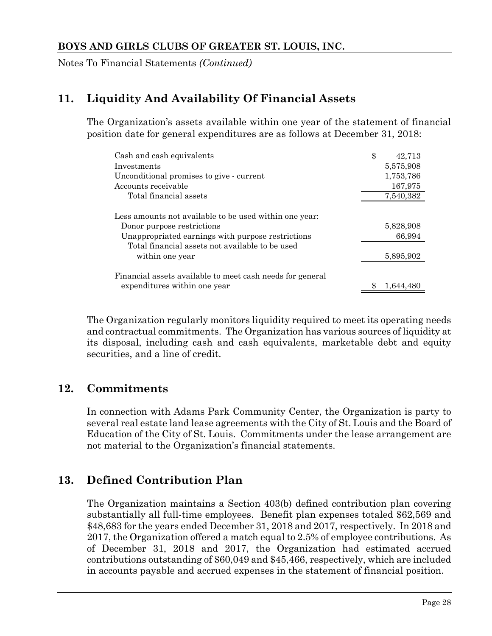Notes To Financial Statements *(Continued)*

# **11. Liquidity And Availability Of Financial Assets**

The Organization's assets available within one year of the statement of financial position date for general expenditures are as follows at December 31, 2018:

| Cash and cash equivalents                                                                                                                 | \$ | 42,713              |
|-------------------------------------------------------------------------------------------------------------------------------------------|----|---------------------|
| Investments                                                                                                                               |    | 5,575,908           |
| Unconditional promises to give - current                                                                                                  |    | 1,753,786           |
| Accounts receivable                                                                                                                       |    | 167,975             |
| Total financial assets                                                                                                                    |    | 7,540,382           |
| Less amounts not available to be used within one year:<br>Donor purpose restrictions<br>Unappropriated earnings with purpose restrictions |    | 5,828,908<br>66,994 |
| Total financial assets not available to be used<br>within one year                                                                        |    | 5,895,902           |
| Financial assets available to meet cash needs for general<br>expenditures within one year                                                 |    | 1.644.480           |

The Organization regularly monitors liquidity required to meet its operating needs and contractual commitments. The Organization has various sources of liquidity at its disposal, including cash and cash equivalents, marketable debt and equity securities, and a line of credit.

# **12. Commitments**

In connection with Adams Park Community Center, the Organization is party to several real estate land lease agreements with the City of St. Louis and the Board of Education of the City of St. Louis. Commitments under the lease arrangement are not material to the Organization's financial statements.

# **13. Defined Contribution Plan**

The Organization maintains a Section 403(b) defined contribution plan covering substantially all full-time employees. Benefit plan expenses totaled \$62,569 and \$48,683 for the years ended December 31, 2018 and 2017, respectively. In 2018 and 2017, the Organization offered a match equal to 2.5% of employee contributions. As of December 31, 2018 and 2017, the Organization had estimated accrued contributions outstanding of \$60,049 and \$45,466, respectively, which are included in accounts payable and accrued expenses in the statement of financial position.